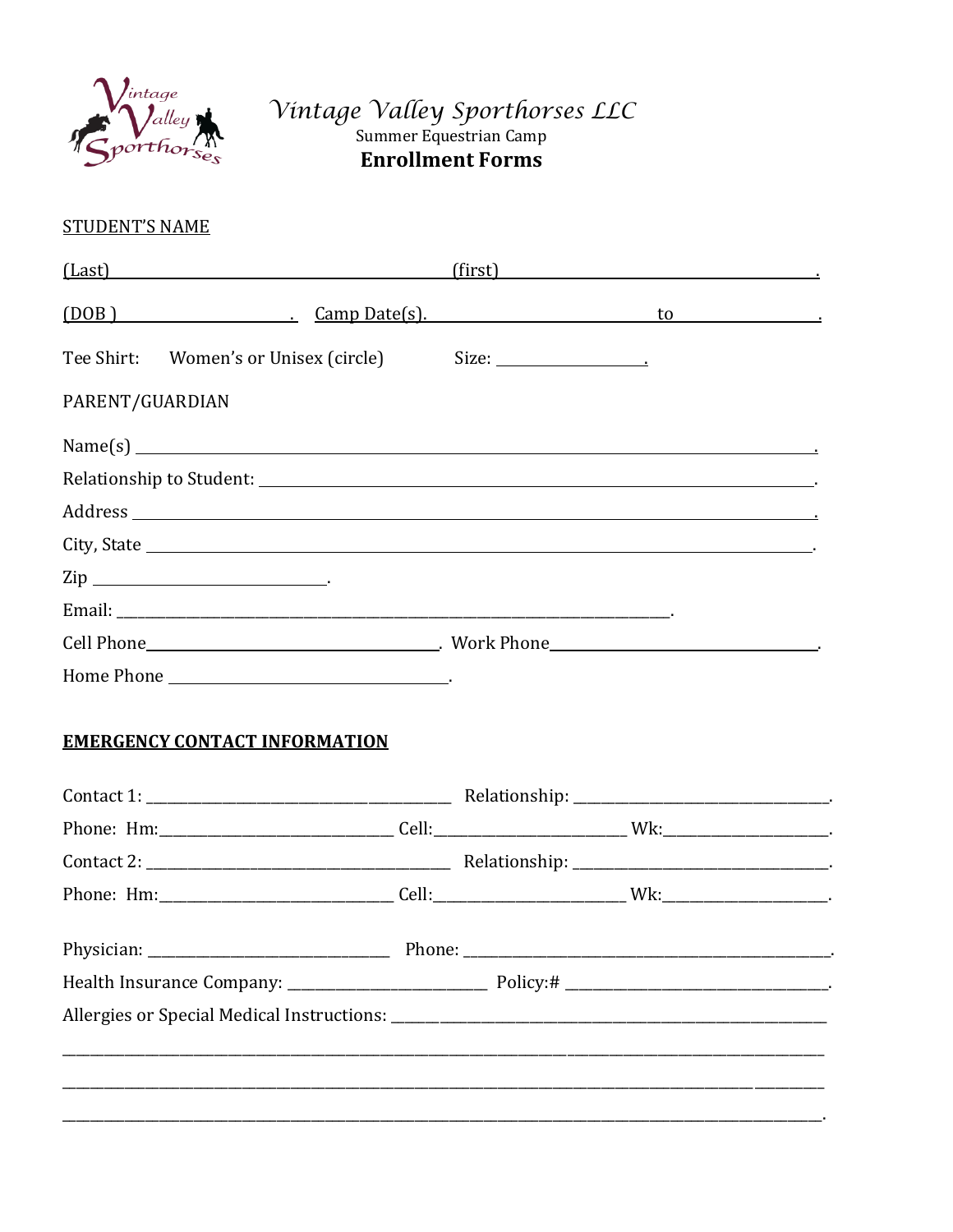

# Vintage Valley Sporthorses LLC<br>Summer Equestrian Camp **Enrollment Forms**

### **STUDENT'S NAME**

| (Last)                    | (first) |
|---------------------------|---------|
| (DOB) Camp Date(s). to to |         |
|                           |         |
| PARENT/GUARDIAN           |         |
| $Name(s)$ $\qquad \qquad$ |         |
|                           |         |
|                           |         |
|                           |         |
| $\mathsf{Zip}\_\_$        |         |
|                           |         |
|                           |         |
|                           |         |

### **EMERGENCY CONTACT INFORMATION**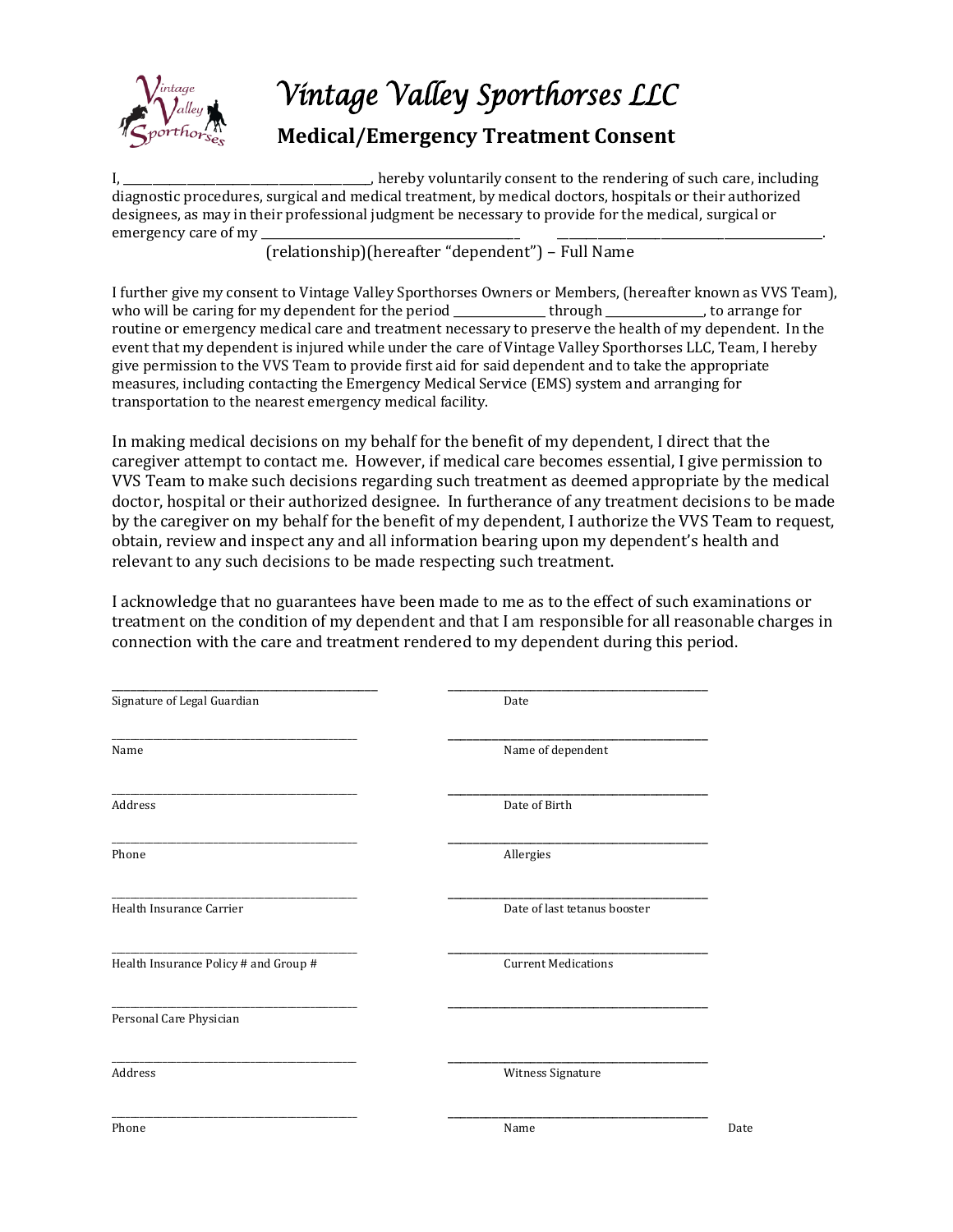

## *Vintage Valley Sporthorses LLC*

### **Medical/Emergency Treatment Consent**

I, \_\_\_\_\_\_\_\_\_\_\_\_\_\_\_\_\_\_\_\_\_\_\_\_\_\_\_\_, hereby voluntarily consent to the rendering of such care, including diagnostic procedures, surgical and medical treatment, by medical doctors, hospitals or their authorized designees, as may in their professional judgment be necessary to provide for the medical, surgical or emergency care of my

(relationship)(hereafter "dependent") – Full Name

I further give my consent to Vintage Valley Sporthorses Owners or Members, (hereafter known as VVS Team), who will be caring for my dependent for the period through through the caring for the period  $\mu$ routine or emergency medical care and treatment necessary to preserve the health of my dependent. In the event that my dependent is injured while under the care of Vintage Valley Sporthorses LLC, Team, I hereby give permission to the VVS Team to provide first aid for said dependent and to take the appropriate measures, including contacting the Emergency Medical Service (EMS) system and arranging for transportation to the nearest emergency medical facility.

In making medical decisions on my behalf for the benefit of my dependent, I direct that the caregiver attempt to contact me. However, if medical care becomes essential, I give permission to VVS Team to make such decisions regarding such treatment as deemed appropriate by the medical doctor, hospital or their authorized designee. In furtherance of any treatment decisions to be made by the caregiver on my behalf for the benefit of my dependent, I authorize the VVS Team to request, obtain, review and inspect any and all information bearing upon my dependent's health and relevant to any such decisions to be made respecting such treatment.

I acknowledge that no guarantees have been made to me as to the effect of such examinations or treatment on the condition of my dependent and that I am responsible for all reasonable charges in connection with the care and treatment rendered to my dependent during this period.

| Signature of Legal Guardian           | Date                         |
|---------------------------------------|------------------------------|
|                                       |                              |
| Name                                  | Name of dependent            |
| Address                               | Date of Birth                |
| Phone                                 | Allergies                    |
| Health Insurance Carrier              | Date of last tetanus booster |
| Health Insurance Policy # and Group # | <b>Current Medications</b>   |
| Personal Care Physician               |                              |
| Address                               | Witness Signature            |
| Phone                                 | Name<br>Date                 |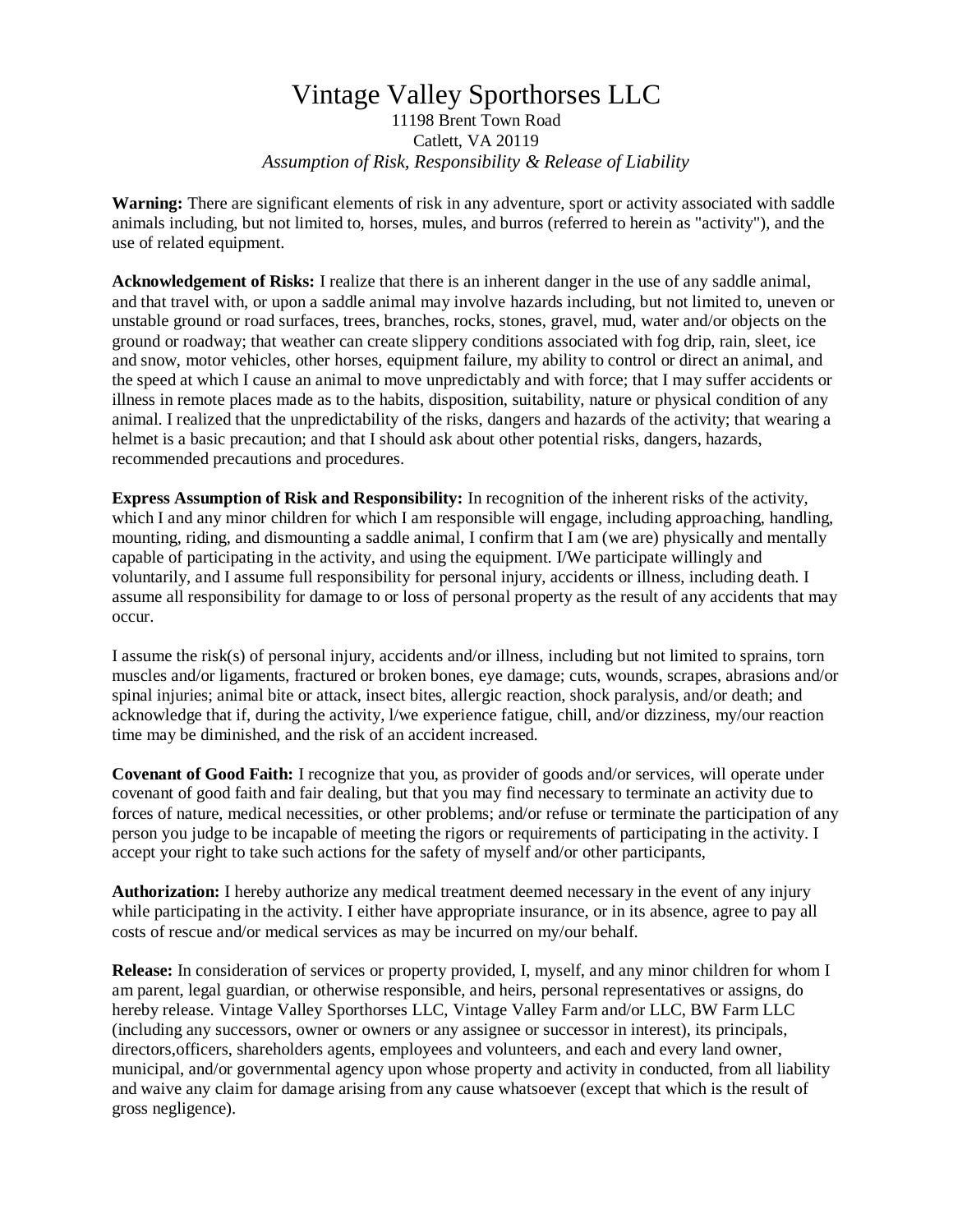### Vintage Valley Sporthorses LLC 11198 Brent Town Road Catlett, VA 20119 *Assumption of Risk, Responsibility & Release of Liability*

**Warning:** There are significant elements of risk in any adventure, sport or activity associated with saddle animals including, but not limited to, horses, mules, and burros (referred to herein as "activity"), and the use of related equipment.

**Acknowledgement of Risks:** I realize that there is an inherent danger in the use of any saddle animal, and that travel with, or upon a saddle animal may involve hazards including, but not limited to, uneven or unstable ground or road surfaces, trees, branches, rocks, stones, gravel, mud, water and/or objects on the ground or roadway; that weather can create slippery conditions associated with fog drip, rain, sleet, ice and snow, motor vehicles, other horses, equipment failure, my ability to control or direct an animal, and the speed at which I cause an animal to move unpredictably and with force; that I may suffer accidents or illness in remote places made as to the habits, disposition, suitability, nature or physical condition of any animal. I realized that the unpredictability of the risks, dangers and hazards of the activity; that wearing a helmet is a basic precaution; and that I should ask about other potential risks, dangers, hazards, recommended precautions and procedures.

**Express Assumption of Risk and Responsibility:** In recognition of the inherent risks of the activity, which I and any minor children for which I am responsible will engage, including approaching, handling, mounting, riding, and dismounting a saddle animal, I confirm that I am (we are) physically and mentally capable of participating in the activity, and using the equipment. I/We participate willingly and voluntarily, and I assume full responsibility for personal injury, accidents or illness, including death. I assume all responsibility for damage to or loss of personal property as the result of any accidents that may occur.

I assume the risk(s) of personal injury, accidents and/or illness, including but not limited to sprains, torn muscles and/or ligaments, fractured or broken bones, eye damage; cuts, wounds, scrapes, abrasions and/or spinal injuries; animal bite or attack, insect bites, allergic reaction, shock paralysis, and/or death; and acknowledge that if, during the activity, l/we experience fatigue, chill, and/or dizziness, my/our reaction time may be diminished, and the risk of an accident increased.

**Covenant of Good Faith:** I recognize that you, as provider of goods and/or services, will operate under covenant of good faith and fair dealing, but that you may find necessary to terminate an activity due to forces of nature, medical necessities, or other problems; and/or refuse or terminate the participation of any person you judge to be incapable of meeting the rigors or requirements of participating in the activity. I accept your right to take such actions for the safety of myself and/or other participants,

**Authorization:** I hereby authorize any medical treatment deemed necessary in the event of any injury while participating in the activity. I either have appropriate insurance, or in its absence, agree to pay all costs of rescue and/or medical services as may be incurred on my/our behalf.

**Release:** In consideration of services or property provided, I, myself, and any minor children for whom I am parent, legal guardian, or otherwise responsible, and heirs, personal representatives or assigns, do hereby release. Vintage Valley Sporthorses LLC, Vintage Valley Farm and/or LLC, BW Farm LLC (including any successors, owner or owners or any assignee or successor in interest), its principals, directors,officers, shareholders agents, employees and volunteers, and each and every land owner, municipal, and/or governmental agency upon whose property and activity in conducted, from all liability and waive any claim for damage arising from any cause whatsoever (except that which is the result of gross negligence).